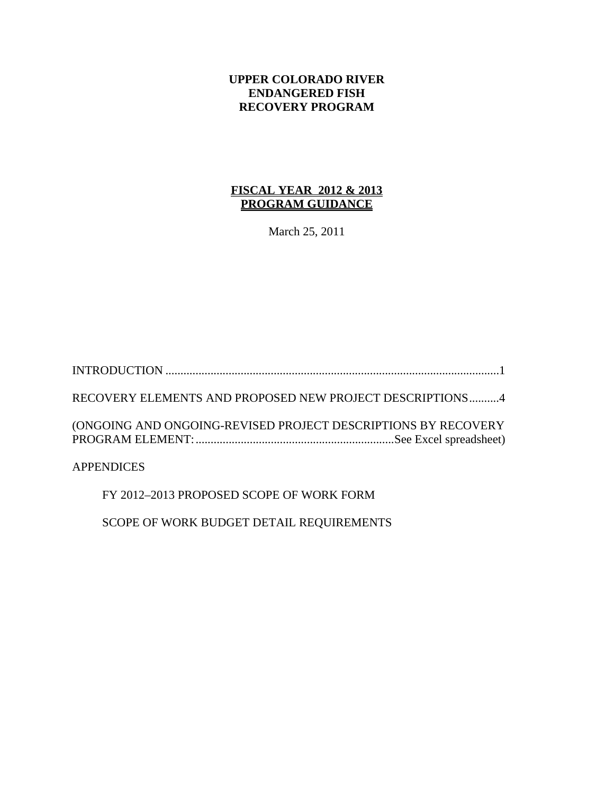### **UPPER COLORADO RIVER ENDANGERED FISH RECOVERY PROGRAM**

## **FISCAL YEAR 2012 & 2013 PROGRAM GUIDANCE**

March 25, 2011

INTRODUCTION ...............................................................................................................1 RECOVERY ELEMENTS AND PROPOSED NEW PROJECT DESCRIPTIONS..........4 (ONGOING AND ONGOING-REVISED PROJECT DESCRIPTIONS BY RECOVERY PROGRAM ELEMENT:..................................................................See Excel spreadsheet)

APPENDICES

FY 2012–2013 PROPOSED SCOPE OF WORK FORM

SCOPE OF WORK BUDGET DETAIL REQUIREMENTS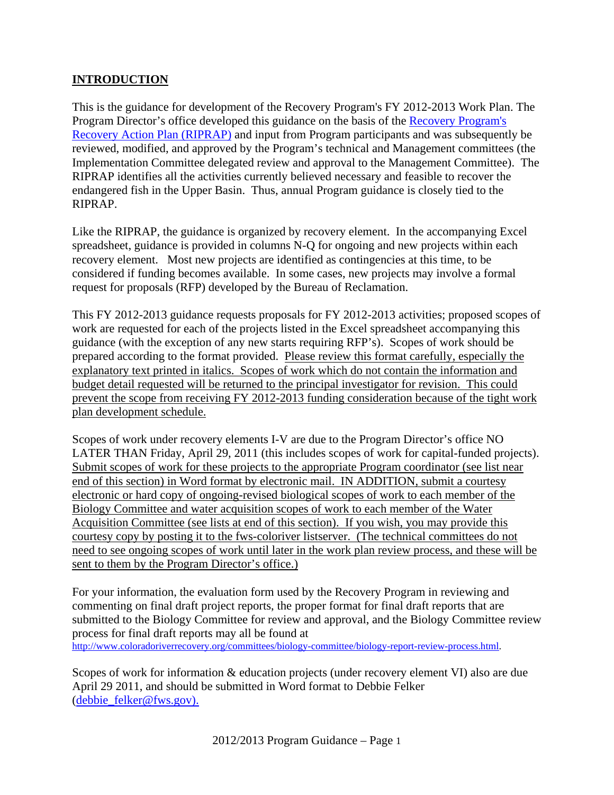## **INTRODUCTION**

This is the guidance for development of the Recovery Program's FY 2012-2013 Work Plan. The Program Director's office developed this guidance on the basis of the Recovery Program's Recovery Action Plan (RIPRAP) and input from Program participants and was subsequently be reviewed, modified, and approved by the Program's technical and Management committees (the Implementation Committee delegated review and approval to the Management Committee). The RIPRAP identifies all the activities currently believed necessary and feasible to recover the endangered fish in the Upper Basin. Thus, annual Program guidance is closely tied to the RIPRAP.

Like the RIPRAP, the guidance is organized by recovery element. In the accompanying Excel spreadsheet, guidance is provided in columns N-Q for ongoing and new projects within each recovery element. Most new projects are identified as contingencies at this time, to be considered if funding becomes available. In some cases, new projects may involve a formal request for proposals (RFP) developed by the Bureau of Reclamation.

This FY 2012-2013 guidance requests proposals for FY 2012-2013 activities; proposed scopes of work are requested for each of the projects listed in the Excel spreadsheet accompanying this guidance (with the exception of any new starts requiring RFP's). Scopes of work should be prepared according to the format provided. Please review this format carefully, especially the explanatory text printed in italics. Scopes of work which do not contain the information and budget detail requested will be returned to the principal investigator for revision. This could prevent the scope from receiving FY 2012-2013 funding consideration because of the tight work plan development schedule.

Scopes of work under recovery elements I-V are due to the Program Director's office NO LATER THAN Friday, April 29, 2011 (this includes scopes of work for capital-funded projects). Submit scopes of work for these projects to the appropriate Program coordinator (see list near end of this section) in Word format by electronic mail. IN ADDITION, submit a courtesy electronic or hard copy of ongoing-revised biological scopes of work to each member of the Biology Committee and water acquisition scopes of work to each member of the Water Acquisition Committee (see lists at end of this section). If you wish, you may provide this courtesy copy by posting it to the fws-coloriver listserver. (The technical committees do not need to see ongoing scopes of work until later in the work plan review process, and these will be sent to them by the Program Director's office.)

For your information, the evaluation form used by the Recovery Program in reviewing and commenting on final draft project reports, the proper format for final draft reports that are submitted to the Biology Committee for review and approval, and the Biology Committee review process for final draft reports may all be found at http://www.coloradoriverrecovery.org/committees/biology-committee/biology-report-review-process.html.

Scopes of work for information & education projects (under recovery element VI) also are due April 29 2011, and should be submitted in Word format to Debbie Felker (debbie\_felker@fws.gov).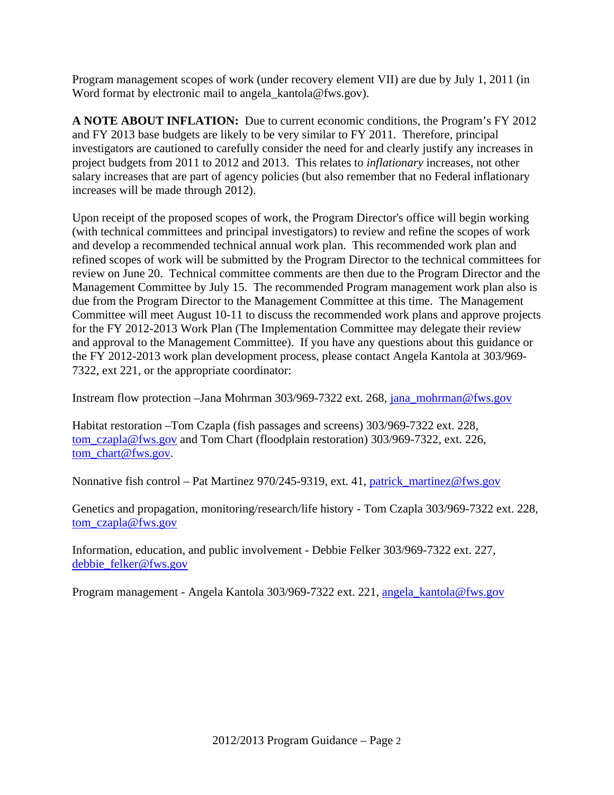Program management scopes of work (under recovery element VII) are due by July 1, 2011 (in Word format by electronic mail to angela kantola@fws.gov).

**A NOTE ABOUT INFLATION:** Due to current economic conditions, the Program's FY 2012 and FY 2013 base budgets are likely to be very similar to FY 2011. Therefore, principal investigators are cautioned to carefully consider the need for and clearly justify any increases in project budgets from 2011 to 2012 and 2013. This relates to *inflationary* increases, not other salary increases that are part of agency policies (but also remember that no Federal inflationary increases will be made through 2012).

Upon receipt of the proposed scopes of work, the Program Director's office will begin working (with technical committees and principal investigators) to review and refine the scopes of work and develop a recommended technical annual work plan. This recommended work plan and refined scopes of work will be submitted by the Program Director to the technical committees for review on June 20. Technical committee comments are then due to the Program Director and the Management Committee by July 15. The recommended Program management work plan also is due from the Program Director to the Management Committee at this time. The Management Committee will meet August 10-11 to discuss the recommended work plans and approve projects for the FY 2012-2013 Work Plan (The Implementation Committee may delegate their review and approval to the Management Committee). If you have any questions about this guidance or the FY 2012-2013 work plan development process, please contact Angela Kantola at 303/969- 7322, ext 221, or the appropriate coordinator:

Instream flow protection –Jana Mohrman 303/969-7322 ext. 268, jana\_mohrman@fws.gov

Habitat restoration –Tom Czapla (fish passages and screens) 303/969-7322 ext. 228, tom\_czapla@fws.gov and Tom Chart (floodplain restoration) 303/969-7322, ext. 226, tom\_chart@fws.gov.

Nonnative fish control – Pat Martinez 970/245-9319, ext. 41, patrick\_martinez@fws.gov

Genetics and propagation, monitoring/research/life history - Tom Czapla 303/969-7322 ext. 228, tom\_czapla@fws.gov

Information, education, and public involvement - Debbie Felker 303/969-7322 ext. 227, debbie\_felker@fws.gov

Program management - Angela Kantola 303/969-7322 ext. 221, angela\_kantola@fws.gov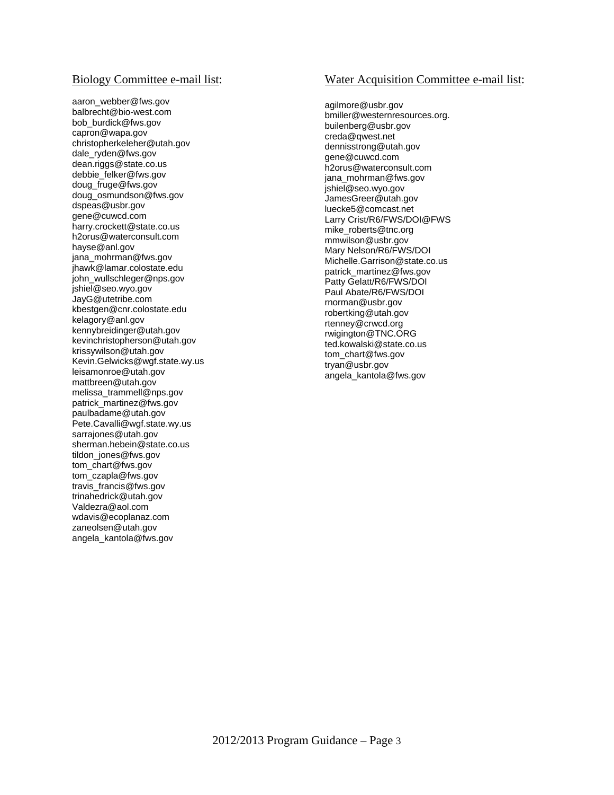#### Biology Committee e-mail list:

aaron\_webber@fws.gov balbrecht@bio-west.com bob\_burdick@fws.gov capron@wapa.gov christopherkeleher@utah.gov dale\_ryden@fws.gov dean.riggs@state.co.us debbie\_felker@fws.gov doug\_fruge@fws.gov doug\_osmundson@fws.gov dspeas@usbr.gov gene@cuwcd.com harry.crockett@state.co.us h2orus@waterconsult.com hayse@anl.gov jana\_mohrman@fws.gov jhawk@lamar.colostate.edu john\_wullschleger@nps.gov jshiel@seo.wyo.gov JayG@utetribe.com kbestgen@cnr.colostate.edu kelagory@anl.gov kennybreidinger@utah.gov kevinchristopherson@utah.gov krissywilson@utah.gov Kevin.Gelwicks@wgf.state.wy.us leisamonroe@utah.gov mattbreen@utah.gov melissa\_trammell@nps.gov patrick\_martinez@fws.gov paulbadame@utah.gov Pete.Cavalli@wgf.state.wy.us sarrajones@utah.gov sherman.hebein@state.co.us tildon\_jones@fws.gov tom\_chart@fws.gov tom\_czapla@fws.gov travis\_francis@fws.gov trinahedrick@utah.gov Valdezra@aol.com wdavis@ecoplanaz.com zaneolsen@utah.gov angela\_kantola@fws.gov

#### Water Acquisition Committee e-mail list:

agilmore@usbr.gov bmiller@westernresources.org. builenberg@usbr.gov creda@qwest.net dennisstrong@utah.gov gene@cuwcd.com h2orus@waterconsult.com jana\_mohrman@fws.gov jshiel@seo.wyo.gov JamesGreer@utah.gov luecke5@comcast.net Larry Crist/R6/FWS/DOI@FWS mike\_roberts@tnc.org mmwilson@usbr.gov Mary Nelson/R6/FWS/DOI Michelle.Garrison@state.co.us patrick\_martinez@fws.gov Patty Gelatt/R6/FWS/DOI Paul Abate/R6/FWS/DOI rnorman@usbr.gov robertking@utah.gov rtenney@crwcd.org rwigington@TNC.ORG ted.kowalski@state.co.us tom\_chart@fws.gov tryan@usbr.gov angela\_kantola@fws.gov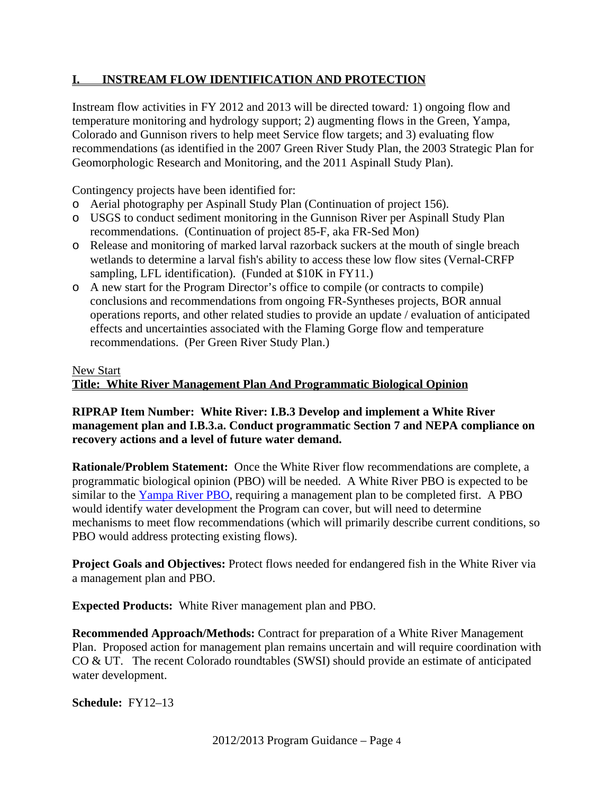# **I. INSTREAM FLOW IDENTIFICATION AND PROTECTION**

Instream flow activities in FY 2012 and 2013 will be directed toward*:* 1) ongoing flow and temperature monitoring and hydrology support; 2) augmenting flows in the Green, Yampa, Colorado and Gunnison rivers to help meet Service flow targets; and 3) evaluating flow recommendations (as identified in the 2007 Green River Study Plan, the 2003 Strategic Plan for Geomorphologic Research and Monitoring, and the 2011 Aspinall Study Plan).

Contingency projects have been identified for:

- o Aerial photography per Aspinall Study Plan (Continuation of project 156).
- o USGS to conduct sediment monitoring in the Gunnison River per Aspinall Study Plan recommendations. (Continuation of project 85-F, aka FR-Sed Mon)
- o Release and monitoring of marked larval razorback suckers at the mouth of single breach wetlands to determine a larval fish's ability to access these low flow sites (Vernal-CRFP sampling, LFL identification). (Funded at \$10K in FY11.)
- o A new start for the Program Director's office to compile (or contracts to compile) conclusions and recommendations from ongoing FR-Syntheses projects, BOR annual operations reports, and other related studies to provide an update / evaluation of anticipated effects and uncertainties associated with the Flaming Gorge flow and temperature recommendations. (Per Green River Study Plan.)

#### New Start

### **Title: White River Management Plan And Programmatic Biological Opinion**

### **RIPRAP Item Number: White River: I.B.3 Develop and implement a White River management plan and I.B.3.a. Conduct programmatic Section 7 and NEPA compliance on recovery actions and a level of future water demand.**

**Rationale/Problem Statement:** Once the White River flow recommendations are complete, a programmatic biological opinion (PBO) will be needed. A White River PBO is expected to be similar to the Yampa River PBO, requiring a management plan to be completed first. A PBO would identify water development the Program can cover, but will need to determine mechanisms to meet flow recommendations (which will primarily describe current conditions, so PBO would address protecting existing flows).

**Project Goals and Objectives:** Protect flows needed for endangered fish in the White River via a management plan and PBO.

**Expected Products:** White River management plan and PBO.

**Recommended Approach/Methods:** Contract for preparation of a White River Management Plan. Proposed action for management plan remains uncertain and will require coordination with CO & UT. The recent Colorado roundtables (SWSI) should provide an estimate of anticipated water development.

**Schedule:** FY12–13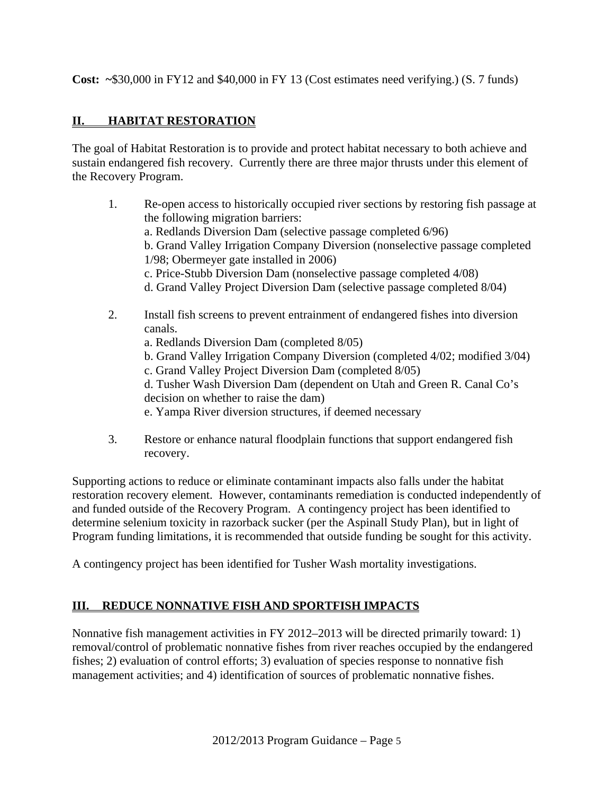**Cost: ~**\$30,000 in FY12 and \$40,000 in FY 13 (Cost estimates need verifying.) (S. 7 funds)

# **II. HABITAT RESTORATION**

The goal of Habitat Restoration is to provide and protect habitat necessary to both achieve and sustain endangered fish recovery. Currently there are three major thrusts under this element of the Recovery Program.

- 1. Re-open access to historically occupied river sections by restoring fish passage at the following migration barriers: a. Redlands Diversion Dam (selective passage completed 6/96) b. Grand Valley Irrigation Company Diversion (nonselective passage completed 1/98; Obermeyer gate installed in 2006) c. Price-Stubb Diversion Dam (nonselective passage completed 4/08) d. Grand Valley Project Diversion Dam (selective passage completed 8/04) 2. Install fish screens to prevent entrainment of endangered fishes into diversion canals. a. Redlands Diversion Dam (completed 8/05) b. Grand Valley Irrigation Company Diversion (completed 4/02; modified 3/04) c. Grand Valley Project Diversion Dam (completed 8/05) d. Tusher Wash Diversion Dam (dependent on Utah and Green R. Canal Co's
	- decision on whether to raise the dam)
	- e. Yampa River diversion structures, if deemed necessary
- 3. Restore or enhance natural floodplain functions that support endangered fish recovery.

Supporting actions to reduce or eliminate contaminant impacts also falls under the habitat restoration recovery element. However, contaminants remediation is conducted independently of and funded outside of the Recovery Program. A contingency project has been identified to determine selenium toxicity in razorback sucker (per the Aspinall Study Plan), but in light of Program funding limitations, it is recommended that outside funding be sought for this activity.

A contingency project has been identified for Tusher Wash mortality investigations.

# **III. REDUCE NONNATIVE FISH AND SPORTFISH IMPACTS**

Nonnative fish management activities in FY 2012–2013 will be directed primarily toward: 1) removal/control of problematic nonnative fishes from river reaches occupied by the endangered fishes; 2) evaluation of control efforts; 3) evaluation of species response to nonnative fish management activities; and 4) identification of sources of problematic nonnative fishes.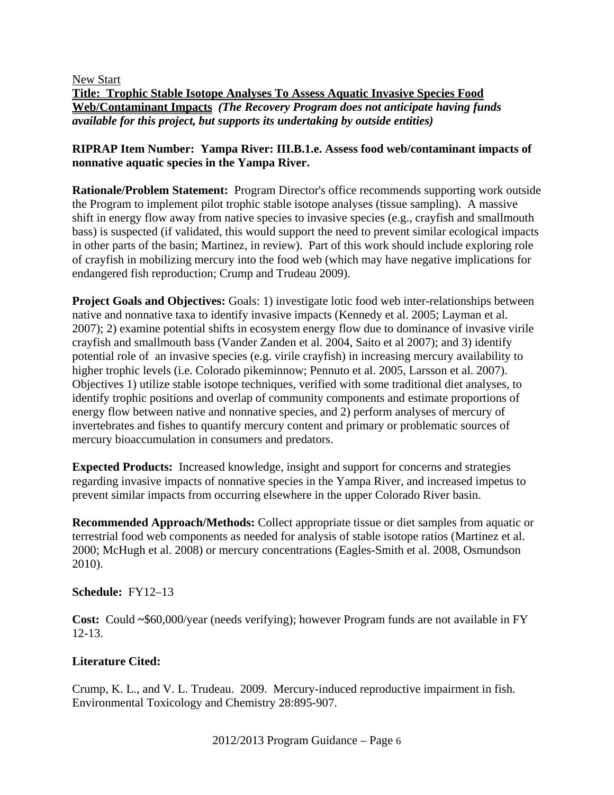New Start

**Title: Trophic Stable Isotope Analyses To Assess Aquatic Invasive Species Food Web/Contaminant Impacts** *(The Recovery Program does not anticipate having funds available for this project, but supports its undertaking by outside entities)* 

### **RIPRAP Item Number: Yampa River: III.B.1.e. Assess food web/contaminant impacts of nonnative aquatic species in the Yampa River.**

**Rationale/Problem Statement:** Program Director's office recommends supporting work outside the Program to implement pilot trophic stable isotope analyses (tissue sampling). A massive shift in energy flow away from native species to invasive species (e.g., crayfish and smallmouth bass) is suspected (if validated, this would support the need to prevent similar ecological impacts in other parts of the basin; Martinez, in review). Part of this work should include exploring role of crayfish in mobilizing mercury into the food web (which may have negative implications for endangered fish reproduction; Crump and Trudeau 2009).

**Project Goals and Objectives:** Goals: 1) investigate lotic food web inter-relationships between native and nonnative taxa to identify invasive impacts (Kennedy et al. 2005; Layman et al. 2007); 2) examine potential shifts in ecosystem energy flow due to dominance of invasive virile crayfish and smallmouth bass (Vander Zanden et al. 2004, Saito et al 2007); and 3) identify potential role of an invasive species (e.g. virile crayfish) in increasing mercury availability to higher trophic levels (i.e. Colorado pikeminnow; Pennuto et al. 2005, Larsson et al. 2007). Objectives 1) utilize stable isotope techniques, verified with some traditional diet analyses, to identify trophic positions and overlap of community components and estimate proportions of energy flow between native and nonnative species, and 2) perform analyses of mercury of invertebrates and fishes to quantify mercury content and primary or problematic sources of mercury bioaccumulation in consumers and predators.

**Expected Products:** Increased knowledge, insight and support for concerns and strategies regarding invasive impacts of nonnative species in the Yampa River, and increased impetus to prevent similar impacts from occurring elsewhere in the upper Colorado River basin.

**Recommended Approach/Methods:** Collect appropriate tissue or diet samples from aquatic or terrestrial food web components as needed for analysis of stable isotope ratios (Martinez et al. 2000; McHugh et al. 2008) or mercury concentrations (Eagles-Smith et al. 2008, Osmundson 2010).

#### **Schedule:** FY12–13

**Cost:** Could **~**\$60,000/year (needs verifying); however Program funds are not available in FY 12-13.

### **Literature Cited:**

Crump, K. L., and V. L. Trudeau. 2009. Mercury-induced reproductive impairment in fish. Environmental Toxicology and Chemistry 28:895-907.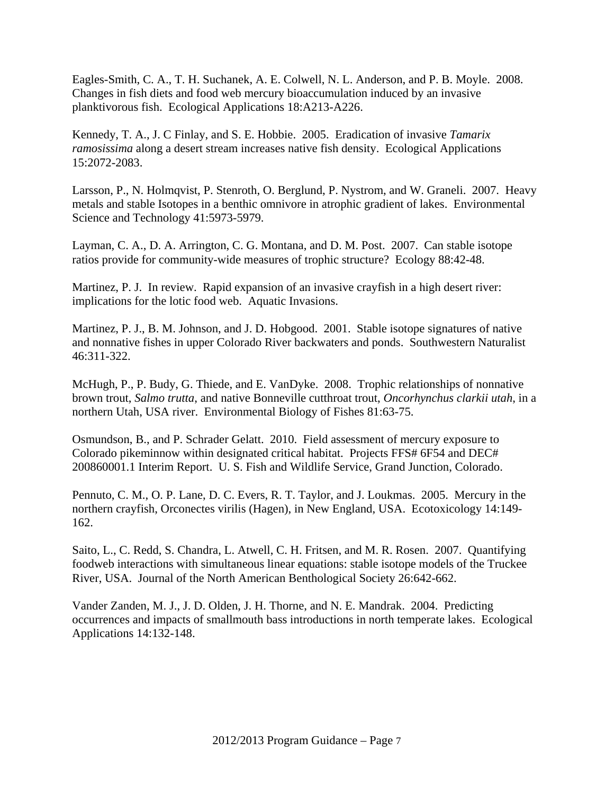Eagles-Smith, C. A., T. H. Suchanek, A. E. Colwell, N. L. Anderson, and P. B. Moyle. 2008. Changes in fish diets and food web mercury bioaccumulation induced by an invasive planktivorous fish. Ecological Applications 18:A213-A226.

Kennedy, T. A., J. C Finlay, and S. E. Hobbie. 2005. Eradication of invasive *Tamarix ramosissima* along a desert stream increases native fish density. Ecological Applications 15:2072-2083.

Larsson, P., N. Holmqvist, P. Stenroth, O. Berglund, P. Nystrom, and W. Graneli. 2007. Heavy metals and stable Isotopes in a benthic omnivore in atrophic gradient of lakes. Environmental Science and Technology 41:5973-5979.

Layman, C. A., D. A. Arrington, C. G. Montana, and D. M. Post. 2007. Can stable isotope ratios provide for community-wide measures of trophic structure? Ecology 88:42-48.

Martinez, P. J. In review. Rapid expansion of an invasive crayfish in a high desert river: implications for the lotic food web. Aquatic Invasions.

Martinez, P. J., B. M. Johnson, and J. D. Hobgood. 2001. Stable isotope signatures of native and nonnative fishes in upper Colorado River backwaters and ponds. Southwestern Naturalist 46:311-322.

McHugh, P., P. Budy, G. Thiede, and E. VanDyke. 2008. Trophic relationships of nonnative brown trout, *Salmo trutta*, and native Bonneville cutthroat trout, *Oncorhynchus clarkii utah*, in a northern Utah, USA river. Environmental Biology of Fishes 81:63-75.

Osmundson, B., and P. Schrader Gelatt. 2010. Field assessment of mercury exposure to Colorado pikeminnow within designated critical habitat. Projects FFS# 6F54 and DEC# 200860001.1 Interim Report. U. S. Fish and Wildlife Service, Grand Junction, Colorado.

Pennuto, C. M., O. P. Lane, D. C. Evers, R. T. Taylor, and J. Loukmas. 2005. Mercury in the northern crayfish, Orconectes virilis (Hagen), in New England, USA. Ecotoxicology 14:149- 162.

Saito, L., C. Redd, S. Chandra, L. Atwell, C. H. Fritsen, and M. R. Rosen. 2007. Quantifying foodweb interactions with simultaneous linear equations: stable isotope models of the Truckee River, USA. Journal of the North American Benthological Society 26:642-662.

Vander Zanden, M. J., J. D. Olden, J. H. Thorne, and N. E. Mandrak. 2004. Predicting occurrences and impacts of smallmouth bass introductions in north temperate lakes. Ecological Applications 14:132-148.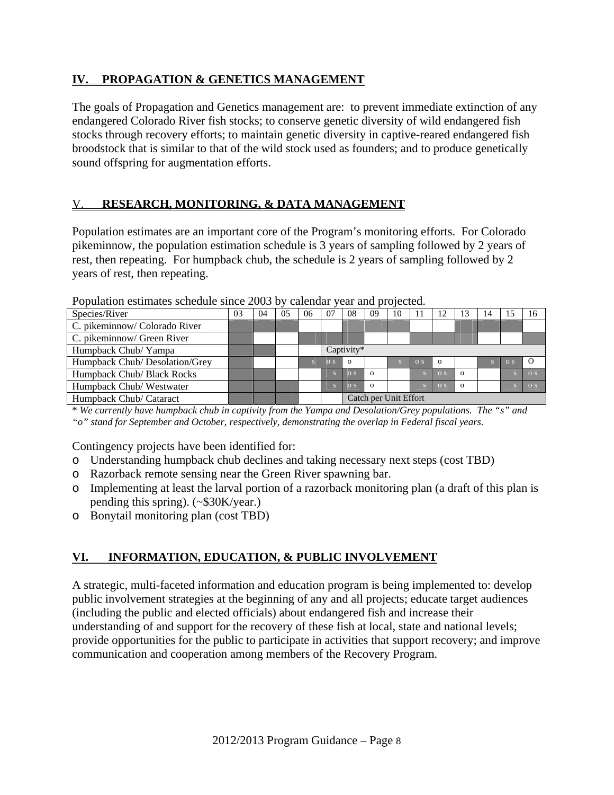## **IV. PROPAGATION & GENETICS MANAGEMENT**

The goals of Propagation and Genetics management are: to prevent immediate extinction of any endangered Colorado River fish stocks; to conserve genetic diversity of wild endangered fish stocks through recovery efforts; to maintain genetic diversity in captive-reared endangered fish broodstock that is similar to that of the wild stock used as founders; and to produce genetically sound offspring for augmentation efforts.

# V. **RESEARCH, MONITORING, & DATA MANAGEMENT**

Population estimates are an important core of the Program's monitoring efforts. For Colorado pikeminnow, the population estimation schedule is 3 years of sampling followed by 2 years of rest, then repeating. For humpback chub, the schedule is 2 years of sampling followed by 2 years of rest, then repeating.

| Species/River                  | 03 | 04 | 0 <sub>5</sub> | 06 | 07             | 08                    | 09       | 10           | 11             | 12             | 13       | 14 |            | 16         |
|--------------------------------|----|----|----------------|----|----------------|-----------------------|----------|--------------|----------------|----------------|----------|----|------------|------------|
| C. pikeminnow/ Colorado River  |    |    |                |    |                |                       |          |              |                |                |          |    |            |            |
| C. pikeminnow/ Green River     |    |    |                |    |                |                       |          |              |                |                |          |    |            |            |
| Humpback Chub/ Yampa           |    |    |                |    |                | Captivity*            |          |              |                |                |          |    |            |            |
| Humpback Chub/ Desolation/Grey |    |    |                |    | O <sub>S</sub> | $\Omega$              |          | $\mathbf{S}$ | O <sub>S</sub> | $\Omega$       |          |    | $\Omega$ S | - 0        |
| Humpback Chub/ Black Rocks     |    |    |                |    |                | $\Omega$ S            | $\Omega$ |              |                | O <sub>S</sub> | $\Omega$ |    |            | $\Omega$ S |
| Humpback Chub/Westwater        |    |    |                |    |                | $\overline{O}$ S      | $\Omega$ |              |                | O <sub>S</sub> | $\Omega$ |    |            | $\Omega$ S |
| Humpback Chub/ Cataract        |    |    |                |    |                | Catch per Unit Effort |          |              |                |                |          |    |            |            |

Population estimates schedule since 2003 by calendar year and projected.

\* *We currently have humpback chub in captivity from the Yampa and Desolation/Grey populations. The "s" and "o" stand for September and October, respectively, demonstrating the overlap in Federal fiscal years.*

Contingency projects have been identified for:

- o Understanding humpback chub declines and taking necessary next steps (cost TBD)
- o Razorback remote sensing near the Green River spawning bar.
- o Implementing at least the larval portion of a razorback monitoring plan (a draft of this plan is pending this spring). (~\$30K/year.)
- o Bonytail monitoring plan (cost TBD)

# **VI. INFORMATION, EDUCATION, & PUBLIC INVOLVEMENT**

A strategic, multi-faceted information and education program is being implemented to: develop public involvement strategies at the beginning of any and all projects; educate target audiences (including the public and elected officials) about endangered fish and increase their understanding of and support for the recovery of these fish at local, state and national levels; provide opportunities for the public to participate in activities that support recovery; and improve communication and cooperation among members of the Recovery Program.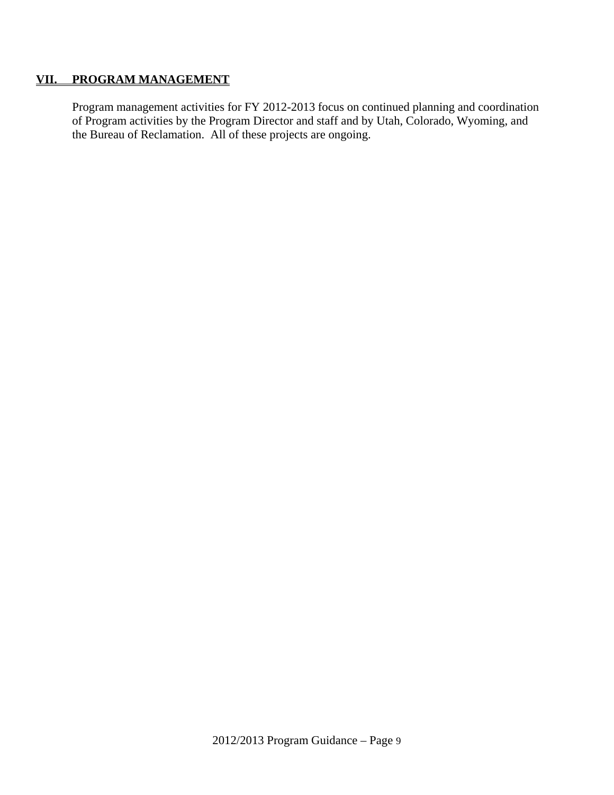### **VII. PROGRAM MANAGEMENT**

Program management activities for FY 2012-2013 focus on continued planning and coordination of Program activities by the Program Director and staff and by Utah, Colorado, Wyoming, and the Bureau of Reclamation. All of these projects are ongoing.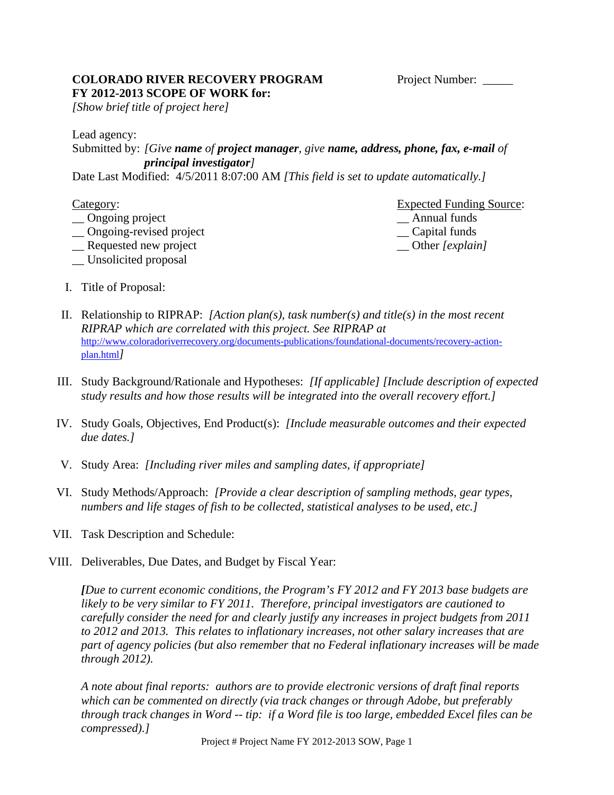### **COLORADO RIVER RECOVERY PROGRAM** Project Number: **FY 2012-2013 SCOPE OF WORK for:**

*[Show brief title of project here]* 

Lead agency:

## Submitted by: *[Give name of project manager, give name, address, phone, fax, e-mail of principal investigator]*

Date Last Modified: 4/5/2011 8:07:00 AM *[This field is set to update automatically.]* 

- 
- \_\_ Ongoing-revised project \_\_ Capital funds
- \_\_ Requested new project \_\_ Other *[explain]*
- \_\_ Unsolicited proposal

**Category:** Expected Funding Source: \_\_ Ongoing project \_\_ Annual funds

- I. Title of Proposal:
- II. Relationship to RIPRAP: *[Action plan(s), task number(s) and title(s) in the most recent RIPRAP which are correlated with this project. See RIPRAP at* http://www.coloradoriverrecovery.org/documents-publications/foundational-documents/recovery-actionplan.html*]*
- III. Study Background/Rationale and Hypotheses: *[If applicable] [Include description of expected study results and how those results will be integrated into the overall recovery effort.]*
- IV. Study Goals, Objectives, End Product(s): *[Include measurable outcomes and their expected due dates.]*
- V. Study Area: *[Including river miles and sampling dates, if appropriate]*
- VI. Study Methods/Approach: *[Provide a clear description of sampling methods, gear types, numbers and life stages of fish to be collected, statistical analyses to be used, etc.]*
- VII. Task Description and Schedule:
- VIII. Deliverables, Due Dates, and Budget by Fiscal Year:

*[Due to current economic conditions, the Program's FY 2012 and FY 2013 base budgets are likely to be very similar to FY 2011. Therefore, principal investigators are cautioned to carefully consider the need for and clearly justify any increases in project budgets from 2011 to 2012 and 2013. This relates to inflationary increases, not other salary increases that are part of agency policies (but also remember that no Federal inflationary increases will be made through 2012).* 

*A note about final reports: authors are to provide electronic versions of draft final reports which can be commented on directly (via track changes or through Adobe, but preferably through track changes in Word -- tip: if a Word file is too large, embedded Excel files can be compressed).]*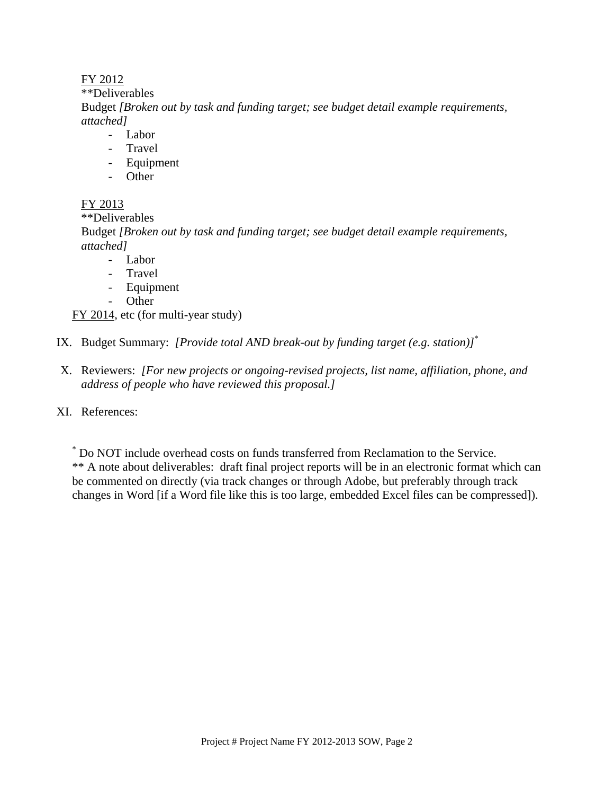### FY 2012

\*\*Deliverables

Budget *[Broken out by task and funding target; see budget detail example requirements, attached]*

- Labor
- **Travel**
- Equipment
- Other

## FY 2013

\*\*Deliverables

Budget *[Broken out by task and funding target; see budget detail example requirements, attached]*

- Labor
- Travel
- Equipment
- Other

FY 2014, etc (for multi-year study)

- IX. Budget Summary: *[Provide total AND break-out by funding target (e.g. station)]*\*
- X. Reviewers: *[For new projects or ongoing-revised projects, list name, affiliation, phone, and address of people who have reviewed this proposal.]*
- XI. References:

\* Do NOT include overhead costs on funds transferred from Reclamation to the Service. \*\* A note about deliverables: draft final project reports will be in an electronic format which can be commented on directly (via track changes or through Adobe, but preferably through track changes in Word [if a Word file like this is too large, embedded Excel files can be compressed]).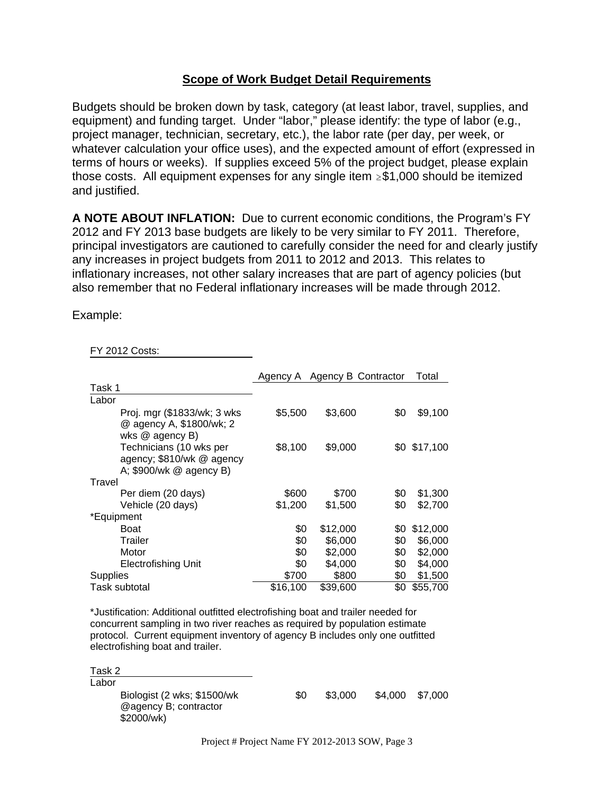## **Scope of Work Budget Detail Requirements**

Budgets should be broken down by task, category (at least labor, travel, supplies, and equipment) and funding target. Under "labor," please identify: the type of labor (e.g., project manager, technician, secretary, etc.), the labor rate (per day, per week, or whatever calculation your office uses), and the expected amount of effort (expressed in terms of hours or weeks). If supplies exceed 5% of the project budget, please explain those costs. All equipment expenses for any single item  $\geq$ \$1,000 should be itemized and justified.

**A NOTE ABOUT INFLATION:** Due to current economic conditions, the Program's FY 2012 and FY 2013 base budgets are likely to be very similar to FY 2011. Therefore, principal investigators are cautioned to carefully consider the need for and clearly justify any increases in project budgets from 2011 to 2012 and 2013. This relates to inflationary increases, not other salary increases that are part of agency policies (but also remember that no Federal inflationary increases will be made through 2012.

Example:

FY 2012 Costs:

|                                                                                 |          | Agency A Agency B Contractor |     | Total        |
|---------------------------------------------------------------------------------|----------|------------------------------|-----|--------------|
| Task 1                                                                          |          |                              |     |              |
| Labor                                                                           |          |                              |     |              |
| Proj. mgr (\$1833/wk; 3 wks)<br>@ agency A, \$1800/wk; 2<br>wks @ agency B)     | \$5,500  | \$3,600                      | \$0 | \$9,100      |
| Technicians (10 wks per<br>agency; \$810/wk @ agency<br>A; \$900/wk @ agency B) | \$8,100  | \$9,000                      |     | \$0 \$17,100 |
| Travel                                                                          |          |                              |     |              |
| Per diem (20 days)                                                              | \$600    | \$700                        | \$0 | \$1,300      |
| Vehicle (20 days)                                                               | \$1,200  | \$1,500                      | \$0 | \$2,700      |
| *Equipment                                                                      |          |                              |     |              |
| Boat                                                                            | \$0      | \$12,000                     | \$0 | \$12,000     |
| Trailer                                                                         | \$0      | \$6,000                      | \$0 | \$6,000      |
| Motor                                                                           | \$0      | \$2,000                      | \$0 | \$2,000      |
| <b>Electrofishing Unit</b>                                                      | \$0      | \$4,000                      | \$0 | \$4,000      |
| <b>Supplies</b>                                                                 | \$700    | \$800                        | \$0 | \$1,500      |
| Task subtotal                                                                   | \$16,100 | \$39,600                     | \$0 | \$55,700     |

\*Justification: Additional outfitted electrofishing boat and trailer needed for concurrent sampling in two river reaches as required by population estimate protocol. Current equipment inventory of agency B includes only one outfitted electrofishing boat and trailer.

Task 2 Labor Biologist (2 wks; \$1500/wk @agency B; contractor \$2000/wk) \$0 \$3,000 \$4,000 \$7,000

Project # Project Name FY 2012-2013 SOW, Page 3